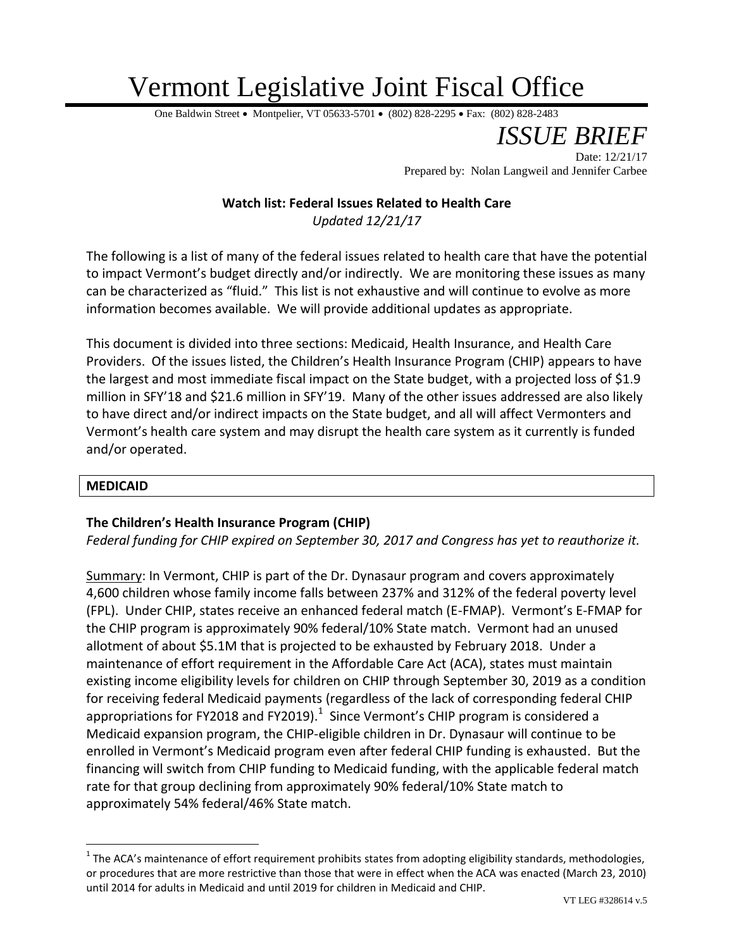# Vermont Legislative Joint Fiscal Office

One Baldwin Street • Montpelier, VT 05633-5701 • (802) 828-2295 • Fax: (802) 828-2483

*ISSUE BRIEF* Date: 12/21/17 Prepared by: Nolan Langweil and Jennifer Carbee

# **Watch list: Federal Issues Related to Health Care**

*Updated 12/21/17*

The following is a list of many of the federal issues related to health care that have the potential to impact Vermont's budget directly and/or indirectly. We are monitoring these issues as many can be characterized as "fluid." This list is not exhaustive and will continue to evolve as more information becomes available. We will provide additional updates as appropriate.

This document is divided into three sections: Medicaid, Health Insurance, and Health Care Providers. Of the issues listed, the Children's Health Insurance Program (CHIP) appears to have the largest and most immediate fiscal impact on the State budget, with a projected loss of \$1.9 million in SFY'18 and \$21.6 million in SFY'19. Many of the other issues addressed are also likely to have direct and/or indirect impacts on the State budget, and all will affect Vermonters and Vermont's health care system and may disrupt the health care system as it currently is funded and/or operated.

#### **MEDICAID**

 $\overline{a}$ 

## **The Children's Health Insurance Program (CHIP)**

*Federal funding for CHIP expired on September 30, 2017 and Congress has yet to reauthorize it.*

Summary: In Vermont, CHIP is part of the Dr. Dynasaur program and covers approximately 4,600 children whose family income falls between 237% and 312% of the federal poverty level (FPL). Under CHIP, states receive an enhanced federal match (E-FMAP). Vermont's E-FMAP for the CHIP program is approximately 90% federal/10% State match. Vermont had an unused allotment of about \$5.1M that is projected to be exhausted by February 2018. Under a maintenance of effort requirement in the Affordable Care Act (ACA), states must maintain existing income eligibility levels for children on CHIP through September 30, 2019 as a condition for receiving federal Medicaid payments (regardless of the lack of corresponding federal CHIP appropriations for FY2018 and FY2019). $^1$  Since Vermont's CHIP program is considered a Medicaid expansion program, the CHIP-eligible children in Dr. Dynasaur will continue to be enrolled in Vermont's Medicaid program even after federal CHIP funding is exhausted. But the financing will switch from CHIP funding to Medicaid funding, with the applicable federal match rate for that group declining from approximately 90% federal/10% State match to approximately 54% federal/46% State match.

<sup>&</sup>lt;sup>1</sup> The ACA's maintenance of effort requirement prohibits states from adopting eligibility standards, methodologies, or procedures that are more restrictive than those that were in effect when the ACA was enacted (March 23, 2010) until 2014 for adults in Medicaid and until 2019 for children in Medicaid and CHIP.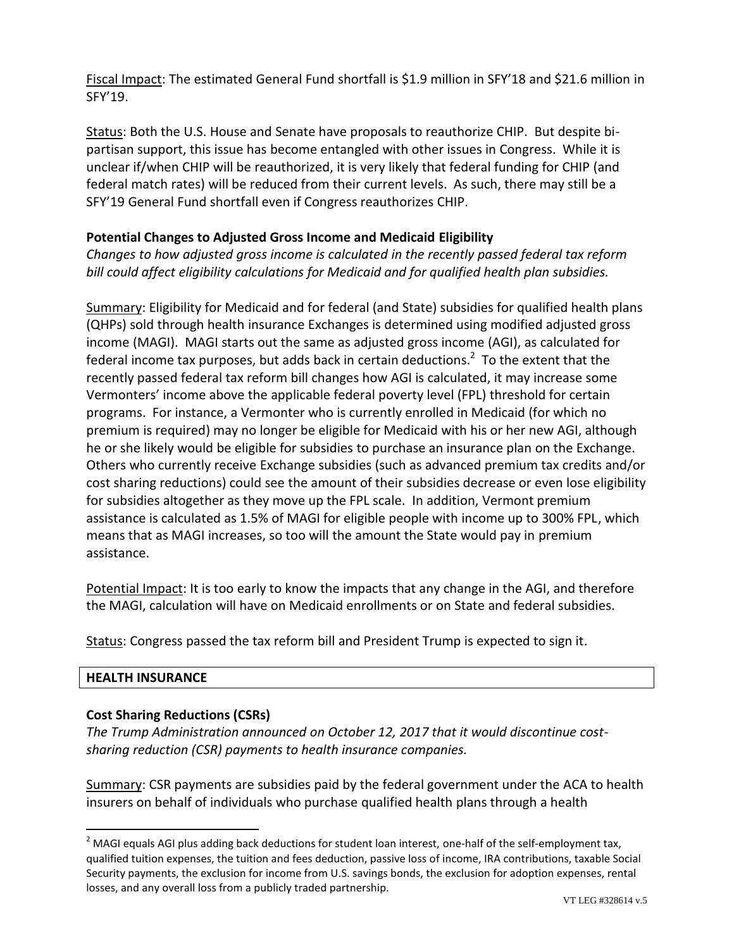Fiscal Impact: The estimated General Fund shortfall is \$1.9 million in SFY'18 and \$21.6 million in SFY'19.

Status: Both the U.S. House and Senate have proposals to reauthorize CHIP. But despite bipartisan support, this issue has become entangled with other issues in Congress. While it is unclear if/when CHIP will be reauthorized, it is very likely that federal funding for CHIP (and federal match rates) will be reduced from their current levels. As such, there may still be a SFY'19 General Fund shortfall even if Congress reauthorizes CHIP.

## **Potential Changes to Adjusted Gross Income and Medicaid Eligibility**

*Changes to how adjusted gross income is calculated in the recently passed federal tax reform bill could affect eligibility calculations for Medicaid and for qualified health plan subsidies.* 

Summary: Eligibility for Medicaid and for federal (and State) subsidies for qualified health plans (QHPs) sold through health insurance Exchanges is determined using modified adjusted gross income (MAGI). MAGI starts out the same as adjusted gross income (AGI), as calculated for federal income tax purposes, but adds back in certain deductions.<sup>2</sup> To the extent that the recently passed federal tax reform bill changes how AGI is calculated, it may increase some Vermonters' income above the applicable federal poverty level (FPL) threshold for certain programs. For instance, a Vermonter who is currently enrolled in Medicaid (for which no premium is required) may no longer be eligible for Medicaid with his or her new AGI, although he or she likely would be eligible for subsidies to purchase an insurance plan on the Exchange. Others who currently receive Exchange subsidies (such as advanced premium tax credits and/or cost sharing reductions) could see the amount of their subsidies decrease or even lose eligibility for subsidies altogether as they move up the FPL scale. In addition, Vermont premium assistance is calculated as 1.5% of MAGI for eligible people with income up to 300% FPL, which means that as MAGI increases, so too will the amount the State would pay in premium assistance.

Potential Impact: It is too early to know the impacts that any change in the AGI, and therefore the MAGI, calculation will have on Medicaid enrollments or on State and federal subsidies.

Status: Congress passed the tax reform bill and President Trump is expected to sign it.

## **HEALTH INSURANCE**

 $\overline{a}$ 

## **Cost Sharing Reductions (CSRs)**

*The Trump Administration announced on October 12, 2017 that it would discontinue costsharing reduction (CSR) payments to health insurance companies.*

Summary: CSR payments are subsidies paid by the federal government under the ACA to health insurers on behalf of individuals who purchase qualified health plans through a health

 $2$  MAGI equals AGI plus adding back deductions for student loan interest, one-half of the self-employment tax, qualified tuition expenses, the tuition and fees deduction, passive loss of income, IRA contributions, taxable Social Security payments, the exclusion for income from U.S. savings bonds, the exclusion for adoption expenses, rental losses, and any overall loss from a publicly traded partnership.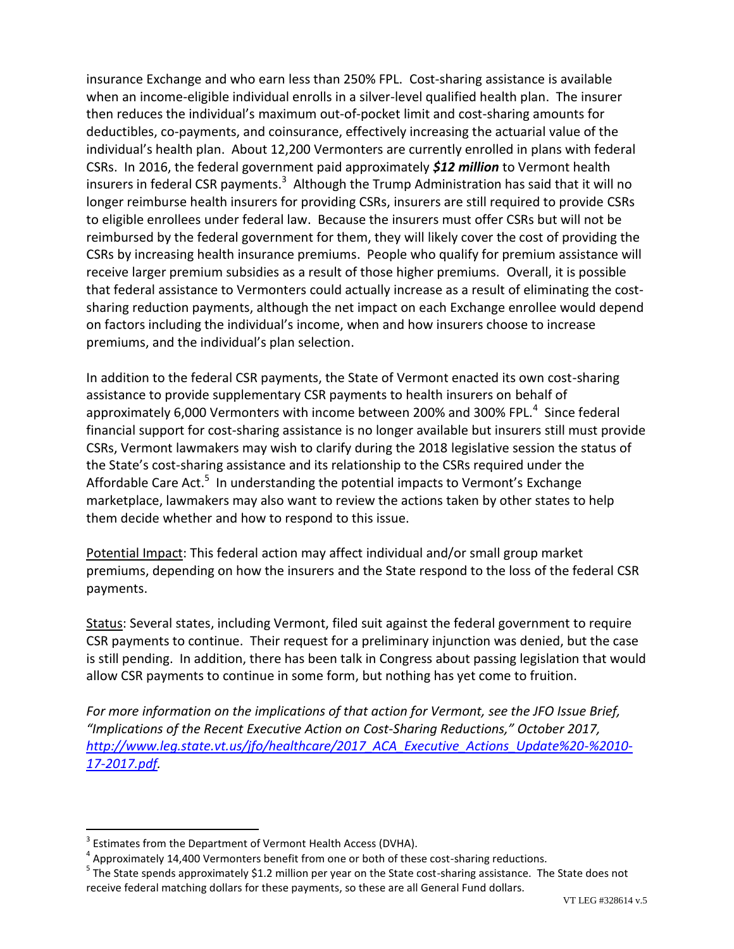insurance Exchange and who earn less than 250% FPL. Cost-sharing assistance is available when an income-eligible individual enrolls in a silver-level qualified health plan. The insurer then reduces the individual's maximum out-of-pocket limit and cost-sharing amounts for deductibles, co-payments, and coinsurance, effectively increasing the actuarial value of the individual's health plan. About 12,200 Vermonters are currently enrolled in plans with federal CSRs. In 2016, the federal government paid approximately *\$12 million* to Vermont health insurers in federal CSR payments.<sup>3</sup> Although the Trump Administration has said that it will no longer reimburse health insurers for providing CSRs, insurers are still required to provide CSRs to eligible enrollees under federal law. Because the insurers must offer CSRs but will not be reimbursed by the federal government for them, they will likely cover the cost of providing the CSRs by increasing health insurance premiums. People who qualify for premium assistance will receive larger premium subsidies as a result of those higher premiums. Overall, it is possible that federal assistance to Vermonters could actually increase as a result of eliminating the costsharing reduction payments, although the net impact on each Exchange enrollee would depend on factors including the individual's income, when and how insurers choose to increase premiums, and the individual's plan selection.

In addition to the federal CSR payments, the State of Vermont enacted its own cost-sharing assistance to provide supplementary CSR payments to health insurers on behalf of approximately 6,000 Vermonters with income between 200% and 300% FPL. $^4$  Since federal financial support for cost-sharing assistance is no longer available but insurers still must provide CSRs, Vermont lawmakers may wish to clarify during the 2018 legislative session the status of the State's cost-sharing assistance and its relationship to the CSRs required under the Affordable Care Act.<sup>5</sup> In understanding the potential impacts to Vermont's Exchange marketplace, lawmakers may also want to review the actions taken by other states to help them decide whether and how to respond to this issue.

Potential Impact: This federal action may affect individual and/or small group market premiums, depending on how the insurers and the State respond to the loss of the federal CSR payments.

Status: Several states, including Vermont, filed suit against the federal government to require CSR payments to continue. Their request for a preliminary injunction was denied, but the case is still pending. In addition, there has been talk in Congress about passing legislation that would allow CSR payments to continue in some form, but nothing has yet come to fruition.

*For more information on the implications of that action for Vermont, see the JFO Issue Brief, "Implications of the Recent Executive Action on Cost-Sharing Reductions," October 2017, [http://www.leg.state.vt.us/jfo/healthcare/2017\\_ACA\\_Executive\\_Actions\\_Update%20-%2010-](http://www.leg.state.vt.us/jfo/healthcare/2017_ACA_Executive_Actions_Update%20-%2010-17-2017.pdf) [17-2017.pdf.](http://www.leg.state.vt.us/jfo/healthcare/2017_ACA_Executive_Actions_Update%20-%2010-17-2017.pdf)* 

 $\overline{a}$ 

 $3$  Estimates from the Department of Vermont Health Access (DVHA).

 $<sup>4</sup>$  Approximately 14,400 Vermonters benefit from one or both of these cost-sharing reductions.</sup>

<sup>&</sup>lt;sup>5</sup> The State spends approximately \$1.2 million per year on the State cost-sharing assistance. The State does not receive federal matching dollars for these payments, so these are all General Fund dollars.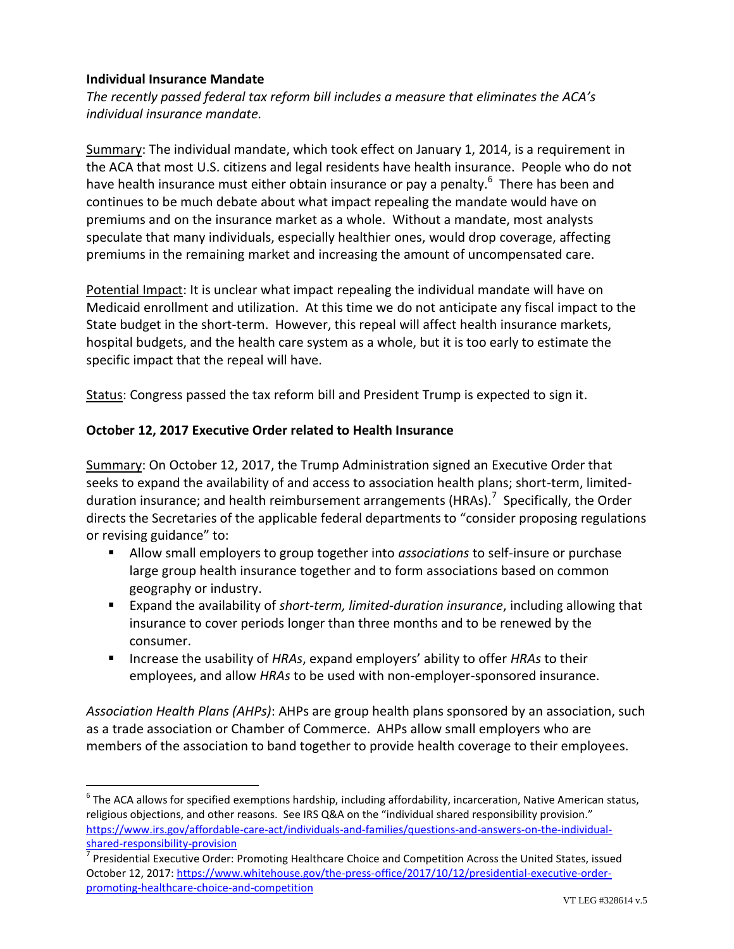## **Individual Insurance Mandate**

 $\overline{a}$ 

*The recently passed federal tax reform bill includes a measure that eliminates the ACA's individual insurance mandate.*

Summary: The individual mandate, which took effect on January 1, 2014, is a requirement in the ACA that most U.S. citizens and legal residents have health insurance. People who do not have health insurance must either obtain insurance or pay a penalty.<sup>6</sup> There has been and continues to be much debate about what impact repealing the mandate would have on premiums and on the insurance market as a whole. Without a mandate, most analysts speculate that many individuals, especially healthier ones, would drop coverage, affecting premiums in the remaining market and increasing the amount of uncompensated care.

Potential Impact: It is unclear what impact repealing the individual mandate will have on Medicaid enrollment and utilization. At this time we do not anticipate any fiscal impact to the State budget in the short-term. However, this repeal will affect health insurance markets, hospital budgets, and the health care system as a whole, but it is too early to estimate the specific impact that the repeal will have.

Status: Congress passed the tax reform bill and President Trump is expected to sign it.

#### **October 12, 2017 Executive Order related to Health Insurance**

Summary: On October 12, 2017, the Trump Administration signed an Executive Order that seeks to expand the availability of and access to association health plans; short-term, limitedduration insurance; and health reimbursement arrangements (HRAs).<sup>7</sup> Specifically, the Order directs the Secretaries of the applicable federal departments to "consider proposing regulations or revising guidance" to:

- Allow small employers to group together into *associations* to self-insure or purchase large group health insurance together and to form associations based on common geography or industry.
- Expand the availability of *short-term, limited-duration insurance*, including allowing that insurance to cover periods longer than three months and to be renewed by the consumer.
- Increase the usability of *HRAs*, expand employers' ability to offer *HRAs* to their employees, and allow *HRAs* to be used with non-employer-sponsored insurance.

*Association Health Plans (AHPs)*: AHPs are group health plans sponsored by an association, such as a trade association or Chamber of Commerce. AHPs allow small employers who are members of the association to band together to provide health coverage to their employees.

 $^6$  The ACA allows for specified exemptions hardship, including affordability, incarceration, Native American status, religious objections, and other reasons. See IRS Q&A on the "individual shared responsibility provision." [https://www.irs.gov/affordable-care-act/individuals-and-families/questions-and-answers-on-the-individual](https://www.irs.gov/affordable-care-act/individuals-and-families/questions-and-answers-on-the-individual-shared-responsibility-provision)[shared-responsibility-provision](https://www.irs.gov/affordable-care-act/individuals-and-families/questions-and-answers-on-the-individual-shared-responsibility-provision)

<sup>&</sup>lt;sup>7</sup> Presidential Executive Order: Promoting Healthcare Choice and Competition Across the United States, issued October 12, 2017[: https://www.whitehouse.gov/the-press-office/2017/10/12/presidential-executive-order](https://www.whitehouse.gov/the-press-office/2017/10/12/presidential-executive-order-promoting-healthcare-choice-and-competition)[promoting-healthcare-choice-and-competition](https://www.whitehouse.gov/the-press-office/2017/10/12/presidential-executive-order-promoting-healthcare-choice-and-competition)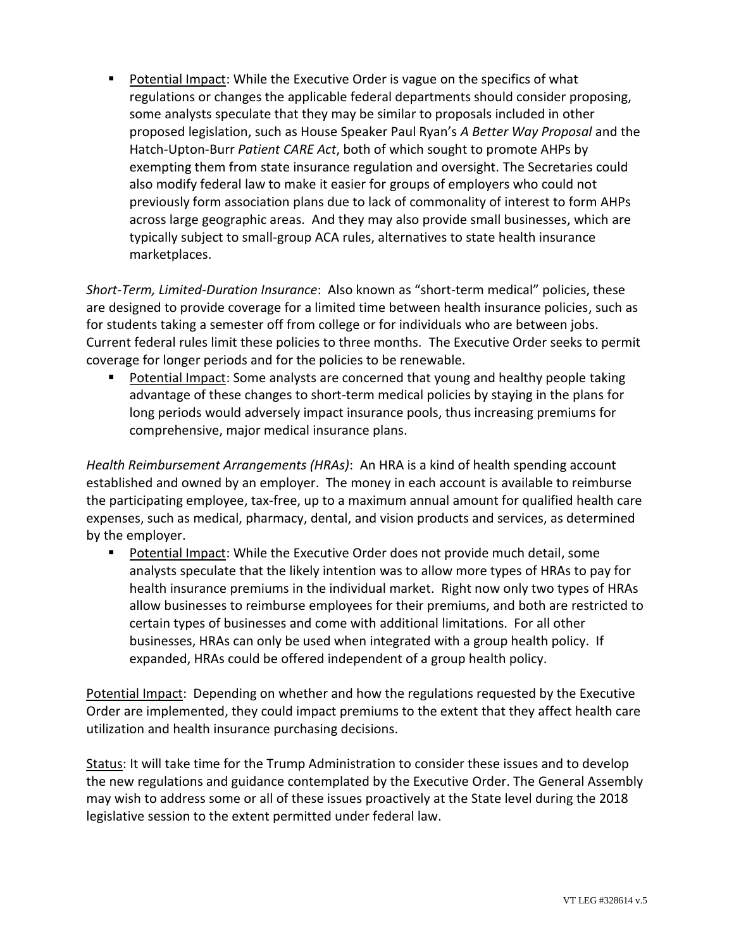**Potential Impact: While the Executive Order is vague on the specifics of what** regulations or changes the applicable federal departments should consider proposing, some analysts speculate that they may be similar to proposals included in other proposed legislation, such as House Speaker Paul Ryan's *A Better Way Proposal* and the Hatch-Upton-Burr *Patient CARE Act*, both of which sought to promote AHPs by exempting them from state insurance regulation and oversight. The Secretaries could also modify federal law to make it easier for groups of employers who could not previously form association plans due to lack of commonality of interest to form AHPs across large geographic areas. And they may also provide small businesses, which are typically subject to small-group ACA rules, alternatives to state health insurance marketplaces.

*Short-Term, Limited-Duration Insurance*: Also known as "short-term medical" policies, these are designed to provide coverage for a limited time between health insurance policies, such as for students taking a semester off from college or for individuals who are between jobs. Current federal rules limit these policies to three months. The Executive Order seeks to permit coverage for longer periods and for the policies to be renewable.

 Potential Impact: Some analysts are concerned that young and healthy people taking advantage of these changes to short-term medical policies by staying in the plans for long periods would adversely impact insurance pools, thus increasing premiums for comprehensive, major medical insurance plans.

*Health Reimbursement Arrangements (HRAs)*: An HRA is a kind of health spending account established and owned by an employer. The money in each account is available to reimburse the participating employee, tax-free, up to a maximum annual amount for qualified health care expenses, such as medical, pharmacy, dental, and vision products and services, as determined by the employer.

 Potential Impact: While the Executive Order does not provide much detail, some analysts speculate that the likely intention was to allow more types of HRAs to pay for health insurance premiums in the individual market. Right now only two types of HRAs allow businesses to reimburse employees for their premiums, and both are restricted to certain types of businesses and come with additional limitations. For all other businesses, HRAs can only be used when integrated with a group health policy. If expanded, HRAs could be offered independent of a group health policy.

Potential Impact: Depending on whether and how the regulations requested by the Executive Order are implemented, they could impact premiums to the extent that they affect health care utilization and health insurance purchasing decisions.

Status: It will take time for the Trump Administration to consider these issues and to develop the new regulations and guidance contemplated by the Executive Order. The General Assembly may wish to address some or all of these issues proactively at the State level during the 2018 legislative session to the extent permitted under federal law.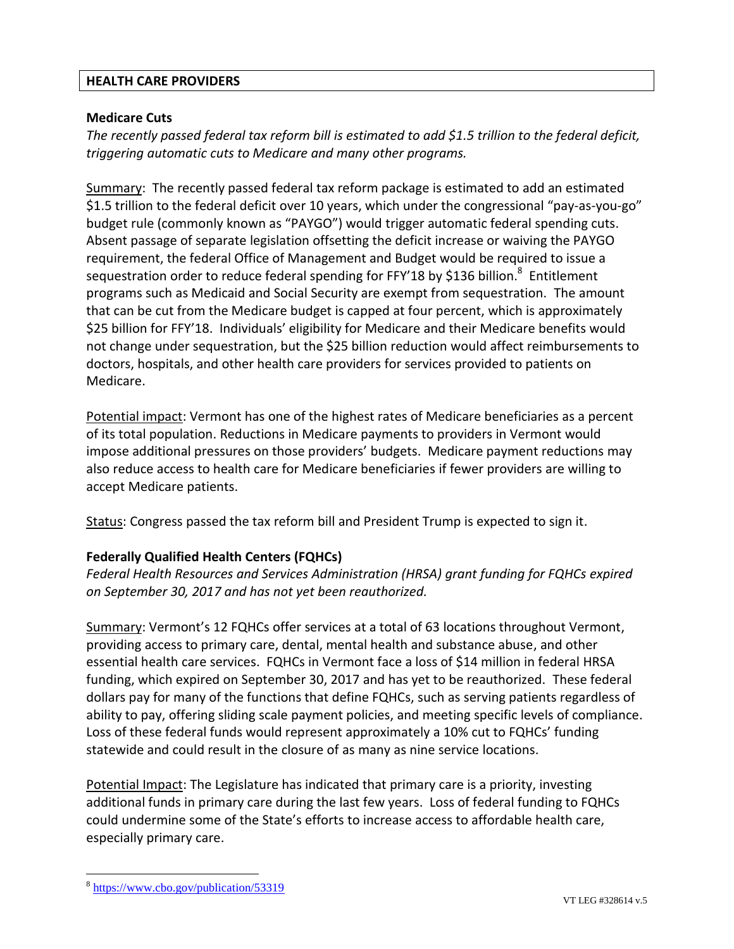#### **HEALTH CARE PROVIDERS**

## **Medicare Cuts**

*The recently passed federal tax reform bill is estimated to add \$1.5 trillion to the federal deficit, triggering automatic cuts to Medicare and many other programs.*

Summary: The recently passed federal tax reform package is estimated to add an estimated \$1.5 trillion to the federal deficit over 10 years, which under the congressional "pay-as-you-go" budget rule (commonly known as "PAYGO") would trigger automatic federal spending cuts. Absent passage of separate legislation offsetting the deficit increase or waiving the PAYGO requirement, the federal Office of Management and Budget would be required to issue a sequestration order to reduce federal spending for FFY'18 by \$136 billion.<sup>8</sup> Entitlement programs such as Medicaid and Social Security are exempt from sequestration. The amount that can be cut from the Medicare budget is capped at four percent, which is approximately \$25 billion for FFY'18. Individuals' eligibility for Medicare and their Medicare benefits would not change under sequestration, but the \$25 billion reduction would affect reimbursements to doctors, hospitals, and other health care providers for services provided to patients on Medicare.

Potential impact: Vermont has one of the highest rates of Medicare beneficiaries as a percent of its total population. Reductions in Medicare payments to providers in Vermont would impose additional pressures on those providers' budgets. Medicare payment reductions may also reduce access to health care for Medicare beneficiaries if fewer providers are willing to accept Medicare patients.

Status: Congress passed the tax reform bill and President Trump is expected to sign it.

## **Federally Qualified Health Centers (FQHCs)**

*Federal Health Resources and Services Administration (HRSA) grant funding for FQHCs expired on September 30, 2017 and has not yet been reauthorized.*

Summary: Vermont's 12 FQHCs offer services at a total of 63 locations throughout Vermont, providing access to primary care, dental, mental health and substance abuse, and other essential health care services. FQHCs in Vermont face a loss of \$14 million in federal HRSA funding, which expired on September 30, 2017 and has yet to be reauthorized. These federal dollars pay for many of the functions that define FQHCs, such as serving patients regardless of ability to pay, offering sliding scale payment policies, and meeting specific levels of compliance. Loss of these federal funds would represent approximately a 10% cut to FQHCs' funding statewide and could result in the closure of as many as nine service locations.

Potential Impact: The Legislature has indicated that primary care is a priority, investing additional funds in primary care during the last few years. Loss of federal funding to FQHCs could undermine some of the State's efforts to increase access to affordable health care, especially primary care.

 $\overline{a}$ 

<sup>&</sup>lt;sup>8</sup> <https://www.cbo.gov/publication/53319>